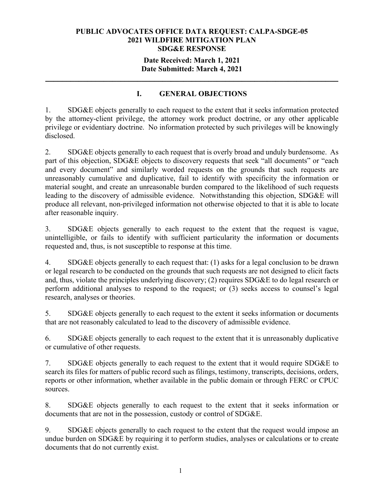#### **Date Received: March 1, 2021 Date Submitted: March 4, 2021**

**\_\_\_\_\_\_\_\_\_\_\_\_\_\_\_\_\_\_\_\_\_\_\_\_\_\_\_\_\_\_\_\_\_\_\_\_\_\_\_\_\_\_\_\_\_\_\_\_\_\_\_\_\_\_\_\_\_\_\_\_\_\_\_\_\_\_\_\_\_\_** 

# **I. GENERAL OBJECTIONS**

1. SDG&E objects generally to each request to the extent that it seeks information protected by the attorney-client privilege, the attorney work product doctrine, or any other applicable privilege or evidentiary doctrine. No information protected by such privileges will be knowingly disclosed.

2. SDG&E objects generally to each request that is overly broad and unduly burdensome. As part of this objection, SDG&E objects to discovery requests that seek "all documents" or "each and every document" and similarly worded requests on the grounds that such requests are unreasonably cumulative and duplicative, fail to identify with specificity the information or material sought, and create an unreasonable burden compared to the likelihood of such requests leading to the discovery of admissible evidence. Notwithstanding this objection, SDG&E will produce all relevant, non-privileged information not otherwise objected to that it is able to locate after reasonable inquiry.

3. SDG&E objects generally to each request to the extent that the request is vague, unintelligible, or fails to identify with sufficient particularity the information or documents requested and, thus, is not susceptible to response at this time.

4. SDG&E objects generally to each request that: (1) asks for a legal conclusion to be drawn or legal research to be conducted on the grounds that such requests are not designed to elicit facts and, thus, violate the principles underlying discovery; (2) requires SDG&E to do legal research or perform additional analyses to respond to the request; or (3) seeks access to counsel's legal research, analyses or theories.

5. SDG&E objects generally to each request to the extent it seeks information or documents that are not reasonably calculated to lead to the discovery of admissible evidence.

6. SDG&E objects generally to each request to the extent that it is unreasonably duplicative or cumulative of other requests.

7. SDG&E objects generally to each request to the extent that it would require SDG&E to search its files for matters of public record such as filings, testimony, transcripts, decisions, orders, reports or other information, whether available in the public domain or through FERC or CPUC sources.

8. SDG&E objects generally to each request to the extent that it seeks information or documents that are not in the possession, custody or control of SDG&E.

9. SDG&E objects generally to each request to the extent that the request would impose an undue burden on SDG&E by requiring it to perform studies, analyses or calculations or to create documents that do not currently exist.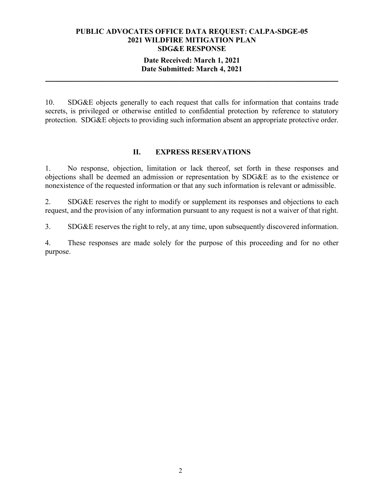#### **Date Received: March 1, 2021 Date Submitted: March 4, 2021**

**\_\_\_\_\_\_\_\_\_\_\_\_\_\_\_\_\_\_\_\_\_\_\_\_\_\_\_\_\_\_\_\_\_\_\_\_\_\_\_\_\_\_\_\_\_\_\_\_\_\_\_\_\_\_\_\_\_\_\_\_\_\_\_\_\_\_\_\_\_\_** 

10. SDG&E objects generally to each request that calls for information that contains trade secrets, is privileged or otherwise entitled to confidential protection by reference to statutory protection. SDG&E objects to providing such information absent an appropriate protective order.

### **II. EXPRESS RESERVATIONS**

1. No response, objection, limitation or lack thereof, set forth in these responses and objections shall be deemed an admission or representation by SDG&E as to the existence or nonexistence of the requested information or that any such information is relevant or admissible.

2. SDG&E reserves the right to modify or supplement its responses and objections to each request, and the provision of any information pursuant to any request is not a waiver of that right.

3. SDG&E reserves the right to rely, at any time, upon subsequently discovered information.

4. These responses are made solely for the purpose of this proceeding and for no other purpose.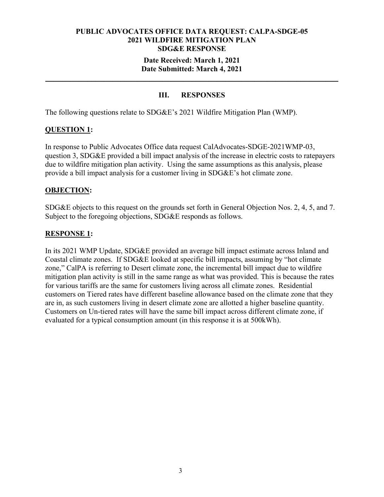#### **Date Received: March 1, 2021 Date Submitted: March 4, 2021**

**\_\_\_\_\_\_\_\_\_\_\_\_\_\_\_\_\_\_\_\_\_\_\_\_\_\_\_\_\_\_\_\_\_\_\_\_\_\_\_\_\_\_\_\_\_\_\_\_\_\_\_\_\_\_\_\_\_\_\_\_\_\_\_\_\_\_\_\_\_\_** 

# **III. RESPONSES**

The following questions relate to SDG&E's 2021 Wildfire Mitigation Plan (WMP).

# **QUESTION 1:**

In response to Public Advocates Office data request CalAdvocates-SDGE-2021WMP-03, question 3, SDG&E provided a bill impact analysis of the increase in electric costs to ratepayers due to wildfire mitigation plan activity. Using the same assumptions as this analysis, please provide a bill impact analysis for a customer living in SDG&E's hot climate zone.

### **OBJECTION:**

SDG&E objects to this request on the grounds set forth in General Objection Nos. 2, 4, 5, and 7. Subject to the foregoing objections, SDG&E responds as follows.

# **RESPONSE 1:**

In its 2021 WMP Update, SDG&E provided an average bill impact estimate across Inland and Coastal climate zones. If SDG&E looked at specific bill impacts, assuming by "hot climate zone," CalPA is referring to Desert climate zone, the incremental bill impact due to wildfire mitigation plan activity is still in the same range as what was provided. This is because the rates for various tariffs are the same for customers living across all climate zones. Residential customers on Tiered rates have different baseline allowance based on the climate zone that they are in, as such customers living in desert climate zone are allotted a higher baseline quantity. Customers on Un-tiered rates will have the same bill impact across different climate zone, if evaluated for a typical consumption amount (in this response it is at 500kWh).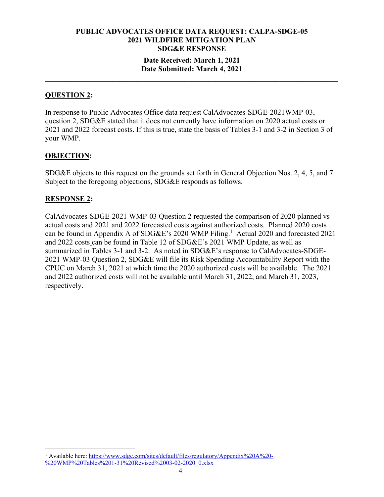### **Date Received: March 1, 2021 Date Submitted: March 4, 2021**

**\_\_\_\_\_\_\_\_\_\_\_\_\_\_\_\_\_\_\_\_\_\_\_\_\_\_\_\_\_\_\_\_\_\_\_\_\_\_\_\_\_\_\_\_\_\_\_\_\_\_\_\_\_\_\_\_\_\_\_\_\_\_\_\_\_\_\_\_\_\_** 

# **QUESTION 2:**

In response to Public Advocates Office data request CalAdvocates-SDGE-2021WMP-03, question 2, SDG&E stated that it does not currently have information on 2020 actual costs or 2021 and 2022 forecast costs. If this is true, state the basis of Tables 3-1 and 3-2 in Section 3 of your WMP.

### **OBJECTION:**

SDG&E objects to this request on the grounds set forth in General Objection Nos. 2, 4, 5, and 7. Subject to the foregoing objections, SDG&E responds as follows.

### **RESPONSE 2:**

CalAdvocates-SDGE-2021 WMP-03 Question 2 requested the comparison of 2020 planned vs actual costs and 2021 and 2022 forecasted costs against authorized costs. Planned 2020 costs can be found in Appendix A of SDG&E's 2020 WMP Filing.<sup>1</sup> Actual 2020 and forecasted 2021 and 2022 costs can be found in Table 12 of SDG&E's 2021 WMP Update, as well as summarized in Tables 3-1 and 3-2. As noted in SDG&E's response to CalAdvocates-SDGE-2021 WMP-03 Question 2, SDG&E will file its Risk Spending Accountability Report with the CPUC on March 31, 2021 at which time the 2020 authorized costs will be available. The 2021 and 2022 authorized costs will not be available until March 31, 2022, and March 31, 2023, respectively.

<sup>&</sup>lt;sup>1</sup> Available here: https://www.sdge.com/sites/default/files/regulatory/Appendix%20A%20-%20WMP%20Tables%201-31%20Revised%2003-02-2020\_0.xlsx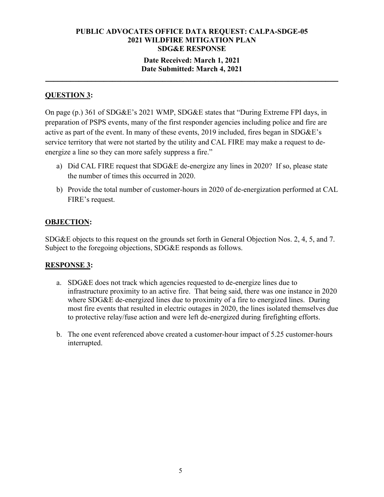### **Date Received: March 1, 2021 Date Submitted: March 4, 2021**

**\_\_\_\_\_\_\_\_\_\_\_\_\_\_\_\_\_\_\_\_\_\_\_\_\_\_\_\_\_\_\_\_\_\_\_\_\_\_\_\_\_\_\_\_\_\_\_\_\_\_\_\_\_\_\_\_\_\_\_\_\_\_\_\_\_\_\_\_\_\_** 

# **QUESTION 3:**

On page (p.) 361 of SDG&E's 2021 WMP, SDG&E states that "During Extreme FPI days, in preparation of PSPS events, many of the first responder agencies including police and fire are active as part of the event. In many of these events, 2019 included, fires began in SDG&E's service territory that were not started by the utility and CAL FIRE may make a request to deenergize a line so they can more safely suppress a fire."

- a) Did CAL FIRE request that SDG&E de-energize any lines in 2020? If so, please state the number of times this occurred in 2020.
- b) Provide the total number of customer-hours in 2020 of de-energization performed at CAL FIRE's request.

# **OBJECTION:**

SDG&E objects to this request on the grounds set forth in General Objection Nos. 2, 4, 5, and 7. Subject to the foregoing objections, SDG&E responds as follows.

# **RESPONSE 3:**

- a. SDG&E does not track which agencies requested to de-energize lines due to infrastructure proximity to an active fire. That being said, there was one instance in 2020 where SDG&E de-energized lines due to proximity of a fire to energized lines. During most fire events that resulted in electric outages in 2020, the lines isolated themselves due to protective relay/fuse action and were left de-energized during firefighting efforts.
- b. The one event referenced above created a customer-hour impact of 5.25 customer-hours interrupted.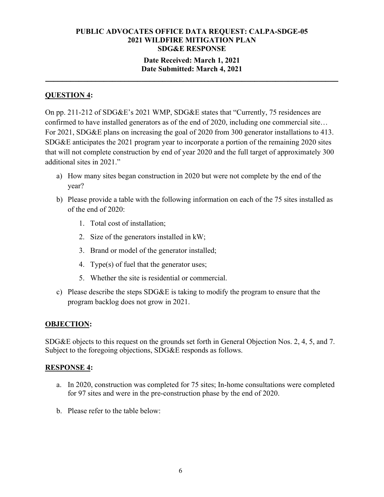### **Date Received: March 1, 2021 Date Submitted: March 4, 2021**

**\_\_\_\_\_\_\_\_\_\_\_\_\_\_\_\_\_\_\_\_\_\_\_\_\_\_\_\_\_\_\_\_\_\_\_\_\_\_\_\_\_\_\_\_\_\_\_\_\_\_\_\_\_\_\_\_\_\_\_\_\_\_\_\_\_\_\_\_\_\_** 

# **QUESTION 4:**

On pp. 211-212 of SDG&E's 2021 WMP, SDG&E states that "Currently, 75 residences are confirmed to have installed generators as of the end of 2020, including one commercial site… For 2021, SDG&E plans on increasing the goal of 2020 from 300 generator installations to 413. SDG&E anticipates the 2021 program year to incorporate a portion of the remaining 2020 sites that will not complete construction by end of year 2020 and the full target of approximately 300 additional sites in 2021."

- a) How many sites began construction in 2020 but were not complete by the end of the year?
- b) Please provide a table with the following information on each of the 75 sites installed as of the end of 2020:
	- 1. Total cost of installation;
	- 2. Size of the generators installed in kW;
	- 3. Brand or model of the generator installed;
	- 4. Type(s) of fuel that the generator uses;
	- 5. Whether the site is residential or commercial.
- c) Please describe the steps SDG&E is taking to modify the program to ensure that the program backlog does not grow in 2021.

# **OBJECTION:**

SDG&E objects to this request on the grounds set forth in General Objection Nos. 2, 4, 5, and 7. Subject to the foregoing objections, SDG&E responds as follows.

# **RESPONSE 4:**

- a. In 2020, construction was completed for 75 sites; In-home consultations were completed for 97 sites and were in the pre-construction phase by the end of 2020.
- b. Please refer to the table below: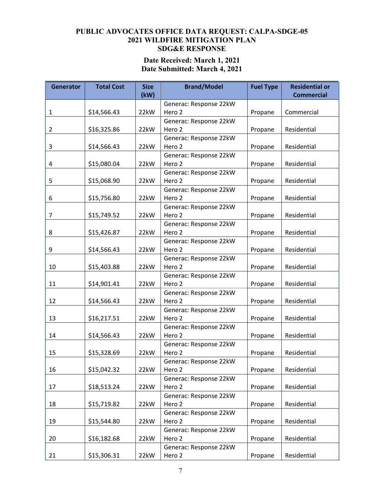# **Date Received: March 1, 2021 Date Submitted: March 4, 2021**

| <b>Generator</b> | <b>Total Cost</b> | <b>Size</b> | <b>Fuel Type</b><br><b>Brand/Model</b> |         | <b>Residential or</b> |  |  |
|------------------|-------------------|-------------|----------------------------------------|---------|-----------------------|--|--|
|                  |                   | (kW)        |                                        |         | <b>Commercial</b>     |  |  |
|                  |                   |             | Generac: Response 22kW                 |         |                       |  |  |
| $\mathbf{1}$     | \$14,566.43       | 22kW        | Hero 2                                 | Propane | Commercial            |  |  |
|                  |                   |             | Generac: Response 22kW                 |         |                       |  |  |
| $\overline{2}$   | \$16,325.86       | 22kW        | Hero 2                                 | Propane | Residential           |  |  |
|                  |                   |             | Generac: Response 22kW<br>Hero 2       |         |                       |  |  |
| 3                | \$14,566.43       | 22kW        |                                        | Propane | Residential           |  |  |
|                  |                   |             | Generac: Response 22kW                 |         | Residential           |  |  |
| 4                | \$15,080.04       | 22kW        | Hero 2                                 | Propane |                       |  |  |
| 5                | \$15,068.90       | 22kW        | Generac: Response 22kW<br>Hero 2       | Propane | Residential           |  |  |
|                  |                   |             |                                        |         |                       |  |  |
| 6                | \$15,756.80       | 22kW        | Generac: Response 22kW<br>Hero 2       | Propane | Residential           |  |  |
|                  |                   |             | Generac: Response 22kW                 |         |                       |  |  |
| 7                | \$15,749.52       | 22kW        | Hero 2                                 | Propane | Residential           |  |  |
|                  |                   |             | Generac: Response 22kW                 |         |                       |  |  |
| 8                | \$15,426.87       | 22kW        | Hero 2                                 | Propane | Residential           |  |  |
|                  |                   |             | Generac: Response 22kW                 |         |                       |  |  |
| 9                | \$14,566.43       | 22kW        | Hero 2                                 | Propane | Residential           |  |  |
|                  |                   |             | Generac: Response 22kW                 |         |                       |  |  |
| 10               | \$15,403.88       | 22kW        | Hero 2                                 | Propane | Residential           |  |  |
|                  |                   |             | Generac: Response 22kW                 |         |                       |  |  |
| 11               | \$14,901.41       | 22kW        | Hero 2                                 | Propane | Residential           |  |  |
|                  |                   |             | Generac: Response 22kW                 |         |                       |  |  |
| 12               | \$14,566.43       | 22kW        | Hero 2                                 | Propane | Residential           |  |  |
|                  |                   |             | Generac: Response 22kW                 |         |                       |  |  |
| 13               | \$16,217.51       | 22kW        | Hero 2                                 | Propane | Residential           |  |  |
|                  |                   |             | Generac: Response 22kW                 |         |                       |  |  |
| 14               | \$14,566.43       | 22kW        | Hero 2                                 | Propane | Residential           |  |  |
|                  |                   |             | Generac: Response 22kW                 |         |                       |  |  |
| 15               | \$15,328.69       | 22kW        | Hero 2                                 | Propane | Residential           |  |  |
|                  |                   |             | Generac: Response 22kW                 |         |                       |  |  |
| 16               | \$15,042.32       | 22kW        | Hero 2                                 | Propane | Residential           |  |  |
|                  |                   |             | Generac: Response 22kW                 |         |                       |  |  |
| 17               | \$18,513.24       | 22kW        | Hero 2                                 | Propane | Residential           |  |  |
|                  |                   |             | Generac: Response 22kW                 |         |                       |  |  |
| 18               | \$15,719.82       | 22kW        | Hero 2                                 | Propane | Residential           |  |  |
|                  |                   |             | Generac: Response 22kW                 |         |                       |  |  |
| 19               | \$15,544.80       | 22kW        | Hero 2                                 | Propane | Residential           |  |  |
|                  |                   |             | Generac: Response 22kW                 |         |                       |  |  |
| 20               | \$16,182.68       | 22kW        | Hero 2                                 | Propane | Residential           |  |  |
|                  |                   |             | Generac: Response 22kW                 |         |                       |  |  |
| 21               | \$15,306.31       | 22kW        | Hero 2                                 | Propane | Residential           |  |  |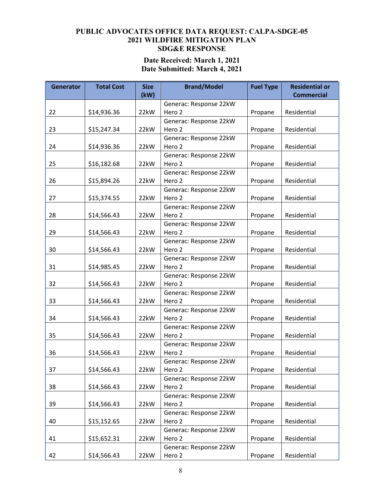# **Date Received: March 1, 2021 Date Submitted: March 4, 2021**

| <b>Generator</b> | <b>Total Cost</b> | <b>Size</b> | <b>Fuel Type</b><br><b>Brand/Model</b> |                        | <b>Residential or</b> |  |  |
|------------------|-------------------|-------------|----------------------------------------|------------------------|-----------------------|--|--|
|                  |                   | (kW)        |                                        |                        | <b>Commercial</b>     |  |  |
|                  |                   |             | Generac: Response 22kW                 |                        |                       |  |  |
| 22               | \$14,936.36       | 22kW        | Hero 2                                 | Propane                | Residential           |  |  |
|                  |                   |             | Generac: Response 22kW                 |                        |                       |  |  |
| 23               | \$15,247.34       | 22kW        | Hero 2                                 | Propane                | Residential           |  |  |
|                  |                   |             | Generac: Response 22kW                 |                        |                       |  |  |
| 24               | \$14,936.36       | 22kW        | Hero 2                                 | Propane                | Residential           |  |  |
|                  |                   |             | Generac: Response 22kW                 |                        |                       |  |  |
| 25               | \$16,182.68       | 22kW        | Hero 2                                 | Propane                | Residential           |  |  |
| 26               |                   | 22kW        | Generac: Response 22kW<br>Hero 2       |                        | Residential           |  |  |
|                  | \$15,894.26       |             |                                        | Propane                |                       |  |  |
| 27               |                   | 22kW        | Generac: Response 22kW<br>Hero 2       |                        | Residential           |  |  |
|                  | \$15,374.55       |             |                                        | Propane                |                       |  |  |
| 28               |                   | 22kW        | Generac: Response 22kW<br>Hero 2       |                        | Residential           |  |  |
|                  | \$14,566.43       |             |                                        | Propane                |                       |  |  |
|                  |                   |             | Generac: Response 22kW                 |                        |                       |  |  |
| 29               | \$14,566.43       | 22kW        | Hero 2                                 | Propane                | Residential           |  |  |
|                  |                   |             | Generac: Response 22kW<br>Hero 2       |                        |                       |  |  |
| 30               | \$14,566.43       | 22kW        |                                        | Propane                | Residential           |  |  |
|                  |                   |             | Generac: Response 22kW                 |                        |                       |  |  |
| 31               | \$14,985.45       | 22kW        | Hero 2                                 | Propane                | Residential           |  |  |
|                  |                   |             | Generac: Response 22kW                 |                        |                       |  |  |
| 32               | \$14,566.43       | 22kW        | Hero 2                                 | Propane                | Residential           |  |  |
|                  |                   |             | Generac: Response 22kW                 |                        |                       |  |  |
| 33               | \$14,566.43       | 22kW        | Hero 2                                 | Propane                | Residential           |  |  |
|                  |                   |             | Generac: Response 22kW                 |                        |                       |  |  |
| 34               | \$14,566.43       | 22kW        | Hero 2                                 | Propane                | Residential           |  |  |
|                  |                   |             | Generac: Response 22kW                 |                        |                       |  |  |
| 35               | \$14,566.43       | 22kW        | Hero 2                                 | Propane                | Residential           |  |  |
|                  |                   |             | Generac: Response 22kW                 |                        |                       |  |  |
| 36               | \$14,566.43       | 22kW        | Hero 2                                 | Propane                | Residential           |  |  |
|                  |                   |             | Generac: Response 22kW                 |                        |                       |  |  |
| 37               | \$14,566.43       | 22kW        | Hero 2                                 | Propane                | Residential           |  |  |
|                  |                   |             | Generac: Response 22kW                 |                        |                       |  |  |
| 38               | \$14,566.43       | 22kW        | Hero 2                                 | Residential<br>Propane |                       |  |  |
|                  |                   |             | Generac: Response 22kW                 |                        |                       |  |  |
| 39               | \$14,566.43       | 22kW        | Hero 2                                 | Propane                | Residential           |  |  |
|                  |                   |             | Generac: Response 22kW                 |                        |                       |  |  |
| 40               | \$15,152.65       | 22kW        | Hero 2                                 | Propane                | Residential           |  |  |
|                  |                   |             | Generac: Response 22kW                 |                        |                       |  |  |
| 41               | \$15,652.31       | 22kW        | Hero 2                                 | Propane                | Residential           |  |  |
|                  |                   |             | Generac: Response 22kW                 |                        |                       |  |  |
| 42               | \$14,566.43       | 22kW        | Hero 2                                 | Propane                | Residential           |  |  |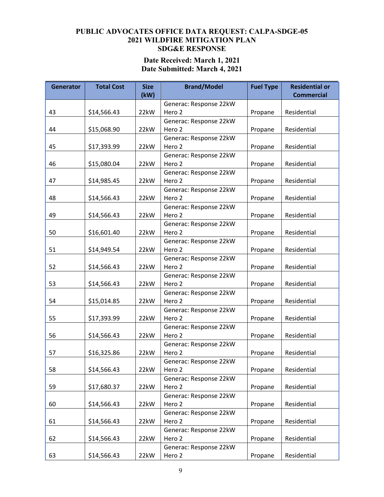# **Date Received: March 1, 2021 Date Submitted: March 4, 2021**

| <b>Generator</b> | <b>Total Cost</b> | <b>Size</b> | <b>Fuel Type</b><br><b>Brand/Model</b> |         | <b>Residential or</b> |  |
|------------------|-------------------|-------------|----------------------------------------|---------|-----------------------|--|
|                  |                   | (kW)        |                                        |         | <b>Commercial</b>     |  |
|                  |                   |             | Generac: Response 22kW                 |         |                       |  |
| 43               | \$14,566.43       | 22kW        | Hero 2                                 | Propane | Residential           |  |
|                  |                   |             | Generac: Response 22kW                 |         |                       |  |
| 44               | \$15,068.90       | 22kW        | Hero 2                                 | Propane | Residential           |  |
|                  |                   |             | Generac: Response 22kW                 |         |                       |  |
| 45               | \$17,393.99       | 22kW        | Hero 2                                 | Propane | Residential           |  |
|                  |                   |             | Generac: Response 22kW                 |         |                       |  |
| 46               | \$15,080.04       | 22kW        | Hero 2                                 | Propane | Residential           |  |
|                  |                   |             | Generac: Response 22kW                 |         |                       |  |
| 47               | \$14,985.45       | 22kW        | Hero 2                                 | Propane | Residential           |  |
|                  |                   |             | Generac: Response 22kW                 |         |                       |  |
| 48               | \$14,566.43       | 22kW        | Hero 2                                 | Propane | Residential           |  |
|                  |                   |             | Generac: Response 22kW                 |         |                       |  |
| 49               | \$14,566.43       | 22kW        | Hero 2                                 | Propane | Residential           |  |
|                  |                   |             | Generac: Response 22kW                 |         |                       |  |
| 50               | \$16,601.40       | 22kW        | Hero 2                                 | Propane | Residential           |  |
|                  |                   |             | Generac: Response 22kW                 |         |                       |  |
| 51               | \$14,949.54       | 22kW        | Hero 2                                 | Propane | Residential           |  |
|                  |                   |             | Generac: Response 22kW                 |         |                       |  |
| 52               | \$14,566.43       | 22kW        | Hero 2                                 | Propane | Residential           |  |
|                  |                   |             | Generac: Response 22kW                 |         |                       |  |
| 53               | \$14,566.43       | 22kW        | Hero 2                                 | Propane | Residential           |  |
|                  |                   |             | Generac: Response 22kW                 |         |                       |  |
| 54               | \$15,014.85       | 22kW        | Hero 2                                 | Propane | Residential           |  |
|                  |                   |             | Generac: Response 22kW                 |         |                       |  |
| 55               | \$17,393.99       | 22kW        | Hero 2                                 | Propane | Residential           |  |
|                  |                   |             | Generac: Response 22kW                 |         |                       |  |
| 56               | \$14,566.43       | 22kW        | Hero 2                                 | Propane | Residential           |  |
|                  |                   |             | Generac: Response 22kW                 |         |                       |  |
| 57               | \$16,325.86       | 22kW        | Hero 2                                 | Propane | Residential           |  |
|                  |                   |             | Generac: Response 22kW                 |         |                       |  |
| 58               | \$14,566.43       | 22kW        | Hero 2                                 | Propane | Residential           |  |
|                  |                   |             | Generac: Response 22kW                 |         |                       |  |
| 59               | \$17,680.37       | 22kW        | Hero 2                                 | Propane | Residential           |  |
|                  |                   |             | Generac: Response 22kW                 |         |                       |  |
| 60               | \$14,566.43       | 22kW        | Hero 2                                 | Propane | Residential           |  |
|                  |                   |             | Generac: Response 22kW                 |         |                       |  |
| 61               | \$14,566.43       | 22kW        | Hero 2                                 | Propane | Residential           |  |
|                  |                   |             | Generac: Response 22kW                 |         |                       |  |
| 62               | \$14,566.43       | 22kW        | Hero 2                                 | Propane | Residential           |  |
|                  |                   |             | Generac: Response 22kW                 |         |                       |  |
| 63               | \$14,566.43       | 22kW        | Hero 2                                 | Propane | Residential           |  |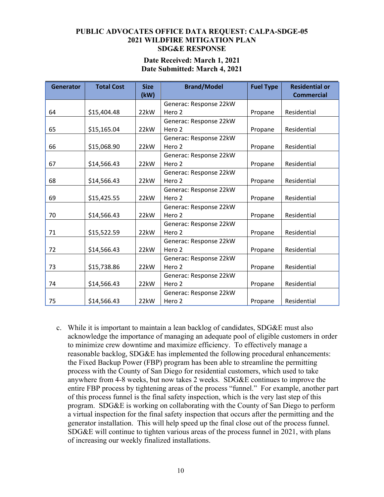#### **Date Received: March 1, 2021 Date Submitted: March 4, 2021**

| <b>Generator</b> | <b>Total Cost</b> | <b>Size</b> | <b>Brand/Model</b>     | <b>Fuel Type</b> | <b>Residential or</b> |  |
|------------------|-------------------|-------------|------------------------|------------------|-----------------------|--|
|                  |                   | (kW)        |                        |                  | <b>Commercial</b>     |  |
|                  |                   |             | Generac: Response 22kW |                  |                       |  |
| 64               | \$15,404.48       | 22kW        | Hero 2<br>Propane      |                  | Residential           |  |
|                  |                   |             | Generac: Response 22kW |                  |                       |  |
| 65               | \$15,165.04       | 22kW        | Hero 2                 | Propane          | Residential           |  |
|                  |                   |             | Generac: Response 22kW |                  |                       |  |
| 66               | \$15,068.90       | 22kW        | Hero 2                 | Propane          | Residential           |  |
|                  |                   |             | Generac: Response 22kW |                  |                       |  |
| 67               | \$14,566.43       | 22kW        | Hero 2                 | Propane          | Residential           |  |
|                  |                   |             | Generac: Response 22kW |                  |                       |  |
| 68               | \$14,566.43       | 22kW        | Hero 2                 | Propane          | Residential           |  |
|                  |                   |             | Generac: Response 22kW |                  |                       |  |
| 69               | \$15,425.55       | 22kW        | Hero 2                 | Propane          | Residential           |  |
|                  |                   |             | Generac: Response 22kW |                  |                       |  |
| 70               | \$14,566.43       | 22kW        | Hero 2                 | Propane          | Residential           |  |
|                  |                   |             | Generac: Response 22kW |                  |                       |  |
| 71               | \$15,522.59       | 22kW        | Hero 2                 | Propane          | Residential           |  |
|                  |                   |             | Generac: Response 22kW |                  |                       |  |
| 72               | \$14,566.43       | 22kW        | Hero 2                 | Propane          | Residential           |  |
|                  |                   |             | Generac: Response 22kW |                  |                       |  |
| 73               | \$15,738.86       | 22kW        | Hero 2                 | Propane          | Residential           |  |
|                  |                   |             | Generac: Response 22kW |                  |                       |  |
| 74               | \$14,566.43       | 22kW        | Hero 2                 | Propane          | Residential           |  |
|                  |                   |             | Generac: Response 22kW |                  |                       |  |
| 75               | \$14,566.43       | 22kW        | Hero 2                 | Propane          | Residential           |  |

c. While it is important to maintain a lean backlog of candidates, SDG&E must also acknowledge the importance of managing an adequate pool of eligible customers in order to minimize crew downtime and maximize efficiency. To effectively manage a reasonable backlog, SDG&E has implemented the following procedural enhancements: the Fixed Backup Power (FBP) program has been able to streamline the permitting process with the County of San Diego for residential customers, which used to take anywhere from 4-8 weeks, but now takes 2 weeks. SDG&E continues to improve the entire FBP process by tightening areas of the process "funnel." For example, another part of this process funnel is the final safety inspection, which is the very last step of this program. SDG&E is working on collaborating with the County of San Diego to perform a virtual inspection for the final safety inspection that occurs after the permitting and the generator installation. This will help speed up the final close out of the process funnel. SDG&E will continue to tighten various areas of the process funnel in 2021, with plans of increasing our weekly finalized installations.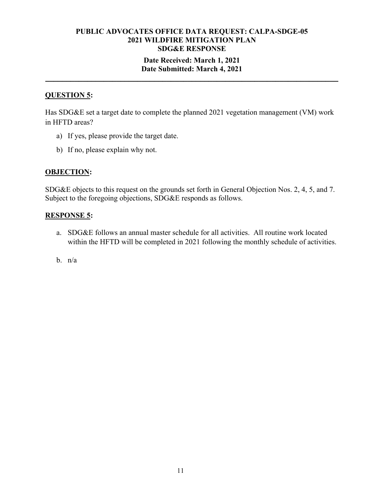## **Date Received: March 1, 2021 Date Submitted: March 4, 2021**

**\_\_\_\_\_\_\_\_\_\_\_\_\_\_\_\_\_\_\_\_\_\_\_\_\_\_\_\_\_\_\_\_\_\_\_\_\_\_\_\_\_\_\_\_\_\_\_\_\_\_\_\_\_\_\_\_\_\_\_\_\_\_\_\_\_\_\_\_\_\_** 

# **QUESTION 5:**

Has SDG&E set a target date to complete the planned 2021 vegetation management (VM) work in HFTD areas?

- a) If yes, please provide the target date.
- b) If no, please explain why not.

### **OBJECTION:**

SDG&E objects to this request on the grounds set forth in General Objection Nos. 2, 4, 5, and 7. Subject to the foregoing objections, SDG&E responds as follows.

#### **RESPONSE 5:**

- a. SDG&E follows an annual master schedule for all activities. All routine work located within the HFTD will be completed in 2021 following the monthly schedule of activities.
- b.  $n/a$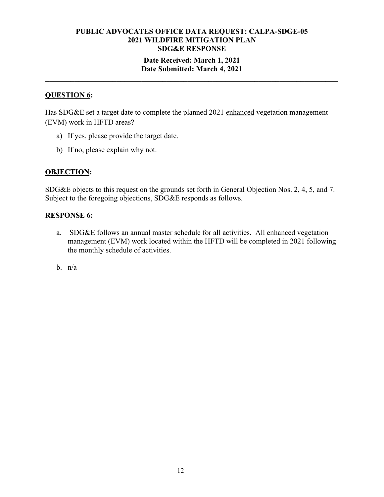### **Date Received: March 1, 2021 Date Submitted: March 4, 2021**

**\_\_\_\_\_\_\_\_\_\_\_\_\_\_\_\_\_\_\_\_\_\_\_\_\_\_\_\_\_\_\_\_\_\_\_\_\_\_\_\_\_\_\_\_\_\_\_\_\_\_\_\_\_\_\_\_\_\_\_\_\_\_\_\_\_\_\_\_\_\_** 

# **QUESTION 6:**

Has SDG&E set a target date to complete the planned 2021 enhanced vegetation management (EVM) work in HFTD areas?

- a) If yes, please provide the target date.
- b) If no, please explain why not.

## **OBJECTION:**

SDG&E objects to this request on the grounds set forth in General Objection Nos. 2, 4, 5, and 7. Subject to the foregoing objections, SDG&E responds as follows.

#### **RESPONSE 6:**

- a. SDG&E follows an annual master schedule for all activities. All enhanced vegetation management (EVM) work located within the HFTD will be completed in 2021 following the monthly schedule of activities.
- b. n/a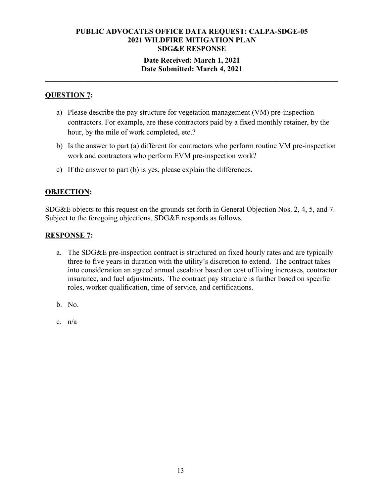### **Date Received: March 1, 2021 Date Submitted: March 4, 2021**

**\_\_\_\_\_\_\_\_\_\_\_\_\_\_\_\_\_\_\_\_\_\_\_\_\_\_\_\_\_\_\_\_\_\_\_\_\_\_\_\_\_\_\_\_\_\_\_\_\_\_\_\_\_\_\_\_\_\_\_\_\_\_\_\_\_\_\_\_\_\_** 

# **QUESTION 7:**

- a) Please describe the pay structure for vegetation management (VM) pre-inspection contractors. For example, are these contractors paid by a fixed monthly retainer, by the hour, by the mile of work completed, etc.?
- b) Is the answer to part (a) different for contractors who perform routine VM pre-inspection work and contractors who perform EVM pre-inspection work?
- c) If the answer to part (b) is yes, please explain the differences.

# **OBJECTION:**

SDG&E objects to this request on the grounds set forth in General Objection Nos. 2, 4, 5, and 7. Subject to the foregoing objections, SDG&E responds as follows.

# **RESPONSE 7:**

- a. The SDG&E pre-inspection contract is structured on fixed hourly rates and are typically three to five years in duration with the utility's discretion to extend. The contract takes into consideration an agreed annual escalator based on cost of living increases, contractor insurance, and fuel adjustments. The contract pay structure is further based on specific roles, worker qualification, time of service, and certifications.
- b. No.
- c. n/a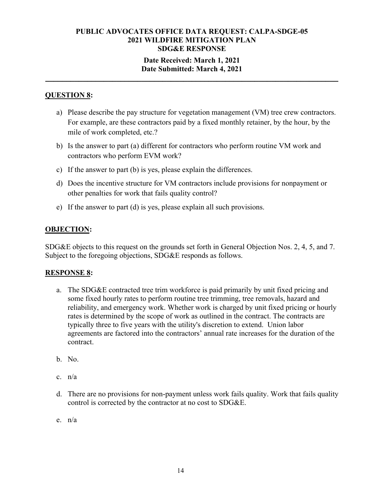### **Date Received: March 1, 2021 Date Submitted: March 4, 2021**

**\_\_\_\_\_\_\_\_\_\_\_\_\_\_\_\_\_\_\_\_\_\_\_\_\_\_\_\_\_\_\_\_\_\_\_\_\_\_\_\_\_\_\_\_\_\_\_\_\_\_\_\_\_\_\_\_\_\_\_\_\_\_\_\_\_\_\_\_\_\_** 

# **QUESTION 8:**

- a) Please describe the pay structure for vegetation management (VM) tree crew contractors. For example, are these contractors paid by a fixed monthly retainer, by the hour, by the mile of work completed, etc.?
- b) Is the answer to part (a) different for contractors who perform routine VM work and contractors who perform EVM work?
- c) If the answer to part (b) is yes, please explain the differences.
- d) Does the incentive structure for VM contractors include provisions for nonpayment or other penalties for work that fails quality control?
- e) If the answer to part (d) is yes, please explain all such provisions.

# **OBJECTION:**

SDG&E objects to this request on the grounds set forth in General Objection Nos. 2, 4, 5, and 7. Subject to the foregoing objections, SDG&E responds as follows.

#### **RESPONSE 8:**

- a. The SDG&E contracted tree trim workforce is paid primarily by unit fixed pricing and some fixed hourly rates to perform routine tree trimming, tree removals, hazard and reliability, and emergency work. Whether work is charged by unit fixed pricing or hourly rates is determined by the scope of work as outlined in the contract. The contracts are typically three to five years with the utility's discretion to extend. Union labor agreements are factored into the contractors' annual rate increases for the duration of the contract.
- b. No.
- c. n/a
- d. There are no provisions for non-payment unless work fails quality. Work that fails quality control is corrected by the contractor at no cost to SDG&E.
- e. n/a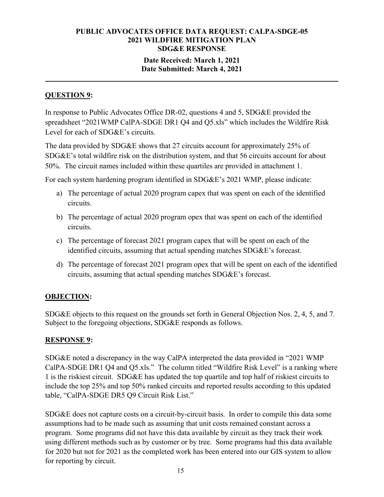## **Date Received: March 1, 2021 Date Submitted: March 4, 2021**

**\_\_\_\_\_\_\_\_\_\_\_\_\_\_\_\_\_\_\_\_\_\_\_\_\_\_\_\_\_\_\_\_\_\_\_\_\_\_\_\_\_\_\_\_\_\_\_\_\_\_\_\_\_\_\_\_\_\_\_\_\_\_\_\_\_\_\_\_\_\_** 

# **QUESTION 9:**

In response to Public Advocates Office DR-02, questions 4 and 5, SDG&E provided the spreadsheet "2021WMP CalPA-SDGE DR1 Q4 and Q5.xls" which includes the Wildfire Risk Level for each of SDG&E's circuits.

The data provided by SDG&E shows that 27 circuits account for approximately 25% of SDG&E's total wildfire risk on the distribution system, and that 56 circuits account for about 50%. The circuit names included within these quartiles are provided in attachment 1.

For each system hardening program identified in SDG&E's 2021 WMP, please indicate:

- a) The percentage of actual 2020 program capex that was spent on each of the identified circuits.
- b) The percentage of actual 2020 program opex that was spent on each of the identified circuits.
- c) The percentage of forecast 2021 program capex that will be spent on each of the identified circuits, assuming that actual spending matches SDG&E's forecast.
- d) The percentage of forecast 2021 program opex that will be spent on each of the identified circuits, assuming that actual spending matches SDG&E's forecast.

# **OBJECTION:**

SDG&E objects to this request on the grounds set forth in General Objection Nos. 2, 4, 5, and 7. Subject to the foregoing objections, SDG&E responds as follows.

# **RESPONSE 9:**

SDG&E noted a discrepancy in the way CalPA interpreted the data provided in "2021 WMP CalPA-SDGE DR1 Q4 and Q5.xls." The column titled "Wildfire Risk Level" is a ranking where 1 is the riskiest circuit. SDG&E has updated the top quartile and top half of riskiest circuits to include the top 25% and top 50% ranked circuits and reported results according to this updated table, "CalPA-SDGE DR5 Q9 Circuit Risk List."

SDG&E does not capture costs on a circuit-by-circuit basis. In order to compile this data some assumptions had to be made such as assuming that unit costs remained constant across a program. Some programs did not have this data available by circuit as they track their work using different methods such as by customer or by tree. Some programs had this data available for 2020 but not for 2021 as the completed work has been entered into our GIS system to allow for reporting by circuit.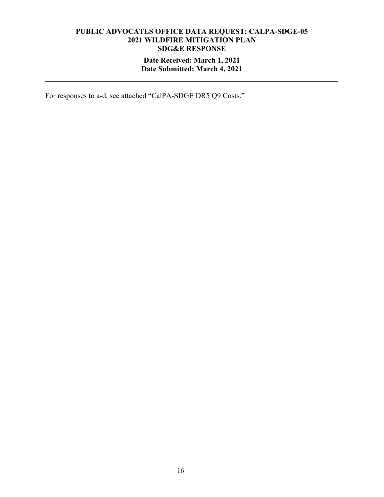## **Date Received: March 1, 2021 Date Submitted: March 4, 2021**

**\_\_\_\_\_\_\_\_\_\_\_\_\_\_\_\_\_\_\_\_\_\_\_\_\_\_\_\_\_\_\_\_\_\_\_\_\_\_\_\_\_\_\_\_\_\_\_\_\_\_\_\_\_\_\_\_\_\_\_\_\_\_\_\_\_\_\_\_\_\_** 

For responses to a-d, see attached "CalPA-SDGE DR5 Q9 Costs."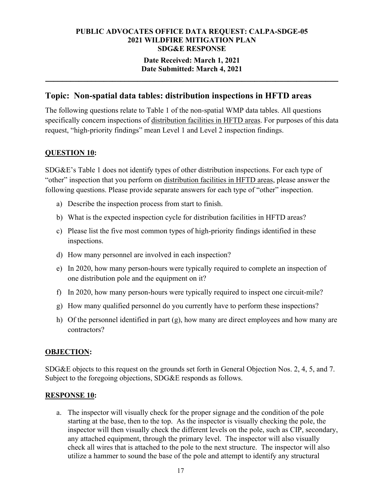# **Date Received: March 1, 2021 Date Submitted: March 4, 2021**

**\_\_\_\_\_\_\_\_\_\_\_\_\_\_\_\_\_\_\_\_\_\_\_\_\_\_\_\_\_\_\_\_\_\_\_\_\_\_\_\_\_\_\_\_\_\_\_\_\_\_\_\_\_\_\_\_\_\_\_\_\_\_\_\_\_\_\_\_\_\_** 

# **Topic: Non-spatial data tables: distribution inspections in HFTD areas**

The following questions relate to Table 1 of the non-spatial WMP data tables. All questions specifically concern inspections of distribution facilities in HFTD areas. For purposes of this data request, "high-priority findings" mean Level 1 and Level 2 inspection findings.

# **QUESTION 10:**

SDG&E's Table 1 does not identify types of other distribution inspections. For each type of "other" inspection that you perform on distribution facilities in HFTD areas, please answer the following questions. Please provide separate answers for each type of "other" inspection.

- a) Describe the inspection process from start to finish.
- b) What is the expected inspection cycle for distribution facilities in HFTD areas?
- c) Please list the five most common types of high-priority findings identified in these inspections.
- d) How many personnel are involved in each inspection?
- e) In 2020, how many person-hours were typically required to complete an inspection of one distribution pole and the equipment on it?
- f) In 2020, how many person-hours were typically required to inspect one circuit-mile?
- g) How many qualified personnel do you currently have to perform these inspections?
- h) Of the personnel identified in part (g), how many are direct employees and how many are contractors?

# **OBJECTION:**

SDG&E objects to this request on the grounds set forth in General Objection Nos. 2, 4, 5, and 7. Subject to the foregoing objections, SDG&E responds as follows.

#### **RESPONSE 10:**

a. The inspector will visually check for the proper signage and the condition of the pole starting at the base, then to the top. As the inspector is visually checking the pole, the inspector will then visually check the different levels on the pole, such as CIP, secondary, any attached equipment, through the primary level. The inspector will also visually check all wires that is attached to the pole to the next structure. The inspector will also utilize a hammer to sound the base of the pole and attempt to identify any structural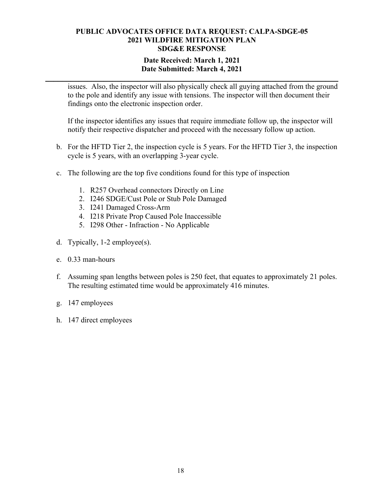### **Date Received: March 1, 2021 Date Submitted: March 4, 2021**

**\_\_\_\_\_\_\_\_\_\_\_\_\_\_\_\_\_\_\_\_\_\_\_\_\_\_\_\_\_\_\_\_\_\_\_\_\_\_\_\_\_\_\_\_\_\_\_\_\_\_\_\_\_\_\_\_\_\_\_\_\_\_\_\_\_\_\_\_\_\_** 

issues. Also, the inspector will also physically check all guying attached from the ground to the pole and identify any issue with tensions. The inspector will then document their findings onto the electronic inspection order.

If the inspector identifies any issues that require immediate follow up, the inspector will notify their respective dispatcher and proceed with the necessary follow up action.

- b. For the HFTD Tier 2, the inspection cycle is 5 years. For the HFTD Tier 3, the inspection cycle is 5 years, with an overlapping 3-year cycle.
- c. The following are the top five conditions found for this type of inspection
	- 1. R257 Overhead connectors Directly on Line
	- 2. I246 SDGE/Cust Pole or Stub Pole Damaged
	- 3. I241 Damaged Cross-Arm
	- 4. I218 Private Prop Caused Pole Inaccessible
	- 5. I298 Other Infraction No Applicable
- d. Typically, 1-2 employee(s).
- e. 0.33 man-hours
- f. Assuming span lengths between poles is 250 feet, that equates to approximately 21 poles. The resulting estimated time would be approximately 416 minutes.
- g. 147 employees
- h. 147 direct employees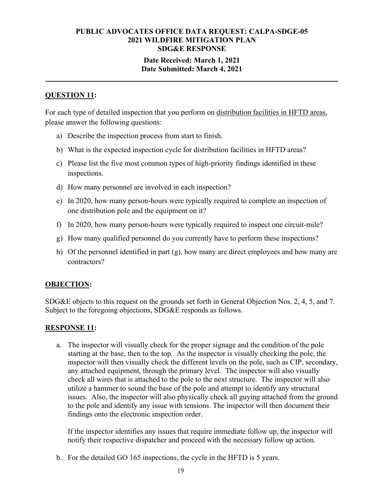## **Date Received: March 1, 2021 Date Submitted: March 4, 2021**

**\_\_\_\_\_\_\_\_\_\_\_\_\_\_\_\_\_\_\_\_\_\_\_\_\_\_\_\_\_\_\_\_\_\_\_\_\_\_\_\_\_\_\_\_\_\_\_\_\_\_\_\_\_\_\_\_\_\_\_\_\_\_\_\_\_\_\_\_\_\_** 

# **QUESTION 11:**

For each type of detailed inspection that you perform on distribution facilities in HFTD areas, please answer the following questions:

- a) Describe the inspection process from start to finish.
- b) What is the expected inspection cycle for distribution facilities in HFTD areas?
- c) Please list the five most common types of high-priority findings identified in these inspections.
- d) How many personnel are involved in each inspection?
- e) In 2020, how many person-hours were typically required to complete an inspection of one distribution pole and the equipment on it?
- f) In 2020, how many person-hours were typically required to inspect one circuit-mile?
- g) How many qualified personnel do you currently have to perform these inspections?
- h) Of the personnel identified in part (g), how many are direct employees and how many are contractors?

# **OBJECTION:**

SDG&E objects to this request on the grounds set forth in General Objection Nos. 2, 4, 5, and 7. Subject to the foregoing objections, SDG&E responds as follows.

# **RESPONSE 11:**

a. The inspector will visually check for the proper signage and the condition of the pole starting at the base, then to the top. As the inspector is visually checking the pole, the inspector will then visually check the different levels on the pole, such as CIP, secondary, any attached equipment, through the primary level. The inspector will also visually check all wires that is attached to the pole to the next structure. The inspector will also utilize a hammer to sound the base of the pole and attempt to identify any structural issues. Also, the inspector will also physically check all guying attached from the ground to the pole and identify any issue with tensions. The inspector will then document their findings onto the electronic inspection order.

If the inspector identifies any issues that require immediate follow up, the inspector will notify their respective dispatcher and proceed with the necessary follow up action.

b. For the detailed GO 165 inspections, the cycle in the HFTD is 5 years.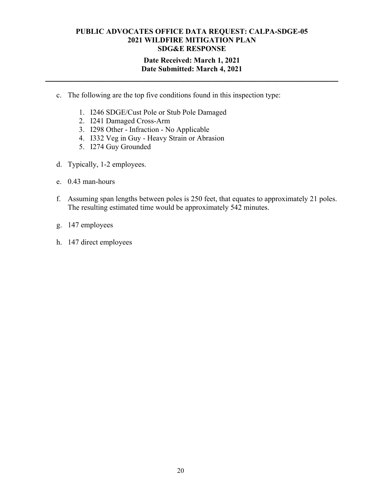## **Date Received: March 1, 2021 Date Submitted: March 4, 2021**

**\_\_\_\_\_\_\_\_\_\_\_\_\_\_\_\_\_\_\_\_\_\_\_\_\_\_\_\_\_\_\_\_\_\_\_\_\_\_\_\_\_\_\_\_\_\_\_\_\_\_\_\_\_\_\_\_\_\_\_\_\_\_\_\_\_\_\_\_\_\_** 

- c. The following are the top five conditions found in this inspection type:
	- 1. I246 SDGE/Cust Pole or Stub Pole Damaged
	- 2. I241 Damaged Cross-Arm
	- 3. I298 Other Infraction No Applicable
	- 4. I332 Veg in Guy Heavy Strain or Abrasion
	- 5. I274 Guy Grounded
- d. Typically, 1-2 employees.
- e. 0.43 man-hours
- f. Assuming span lengths between poles is 250 feet, that equates to approximately 21 poles. The resulting estimated time would be approximately 542 minutes.
- g. 147 employees
- h. 147 direct employees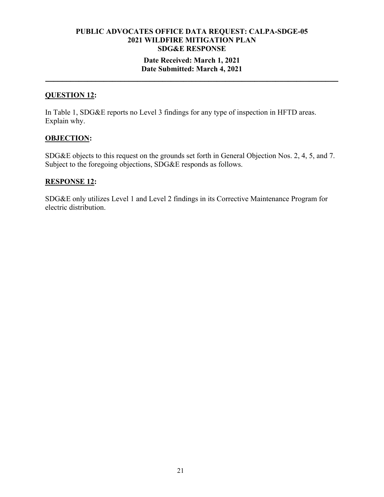### **Date Received: March 1, 2021 Date Submitted: March 4, 2021**

**\_\_\_\_\_\_\_\_\_\_\_\_\_\_\_\_\_\_\_\_\_\_\_\_\_\_\_\_\_\_\_\_\_\_\_\_\_\_\_\_\_\_\_\_\_\_\_\_\_\_\_\_\_\_\_\_\_\_\_\_\_\_\_\_\_\_\_\_\_\_** 

# **QUESTION 12:**

In Table 1, SDG&E reports no Level 3 findings for any type of inspection in HFTD areas. Explain why.

#### **OBJECTION:**

SDG&E objects to this request on the grounds set forth in General Objection Nos. 2, 4, 5, and 7. Subject to the foregoing objections, SDG&E responds as follows.

## **RESPONSE 12:**

SDG&E only utilizes Level 1 and Level 2 findings in its Corrective Maintenance Program for electric distribution.